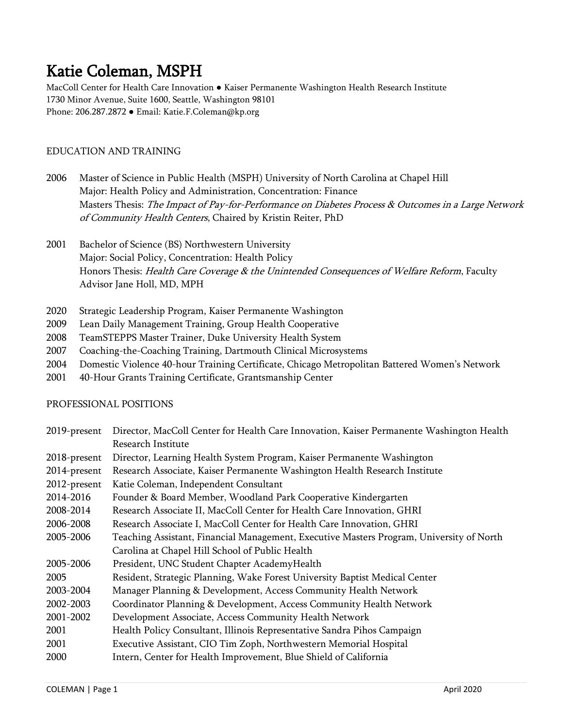Katie Coleman, MSPH<br>MacColl Center for Health Care Innovation • Kaiser Permanente Washington Health Research Institute 1730 Minor Avenue, Suite 1600, Seattle, Washington 98101 Phone: 206.287.2872 ● Email: Katie.F.Coleman@kp.org

# EDUCATION AND TRAINING

- 2006 Master of Science in Public Health (MSPH) University of North Carolina at Chapel Hill Major: Health Policy and Administration, Concentration: Finance Masters Thesis: The Impact of Pay-for-Performance on Diabetes Process & Outcomes in a Large Network of Community Health Centers, Chaired by Kristin Reiter, PhD
- 2001 Bachelor of Science (BS) Northwestern University Major: Social Policy, Concentration: Health Policy Honors Thesis: Health Care Coverage & the Unintended Consequences of Welfare Reform, Faculty Advisor Jane Holl, MD, MPH
- 2020 Strategic Leadership Program, Kaiser Permanente Washington
- 2009 Lean Daily Management Training, Group Health Cooperative
- 2008 TeamSTEPPS Master Trainer, Duke University Health System
- 2007 Coaching-the-Coaching Training, Dartmouth Clinical Microsystems
- 2004 Domestic Violence 40-hour Training Certificate, Chicago Metropolitan Battered Women's Network
- 2001 40-Hour Grants Training Certificate, Grantsmanship Center

#### PROFESSIONAL POSITIONS

| 2019-present | Director, MacColl Center for Health Care Innovation, Kaiser Permanente Washington Health |  |
|--------------|------------------------------------------------------------------------------------------|--|
|              | Research Institute                                                                       |  |
| 2018-present | Director, Learning Health System Program, Kaiser Permanente Washington                   |  |
| 2014-present | Research Associate, Kaiser Permanente Washington Health Research Institute               |  |
| 2012-present | Katie Coleman, Independent Consultant                                                    |  |
| 2014-2016    | Founder & Board Member, Woodland Park Cooperative Kindergarten                           |  |
| 2008-2014    | Research Associate II, MacColl Center for Health Care Innovation, GHRI                   |  |
| 2006-2008    | Research Associate I, MacColl Center for Health Care Innovation, GHRI                    |  |
| 2005-2006    | Teaching Assistant, Financial Management, Executive Masters Program, University of North |  |
|              | Carolina at Chapel Hill School of Public Health                                          |  |
| 2005-2006    | President, UNC Student Chapter AcademyHealth                                             |  |
| 2005         | Resident, Strategic Planning, Wake Forest University Baptist Medical Center              |  |
| 2003-2004    | Manager Planning & Development, Access Community Health Network                          |  |
| 2002-2003    | Coordinator Planning & Development, Access Community Health Network                      |  |
| 2001-2002    | Development Associate, Access Community Health Network                                   |  |
| 2001         | Health Policy Consultant, Illinois Representative Sandra Pihos Campaign                  |  |
| 2001         | Executive Assistant, CIO Tim Zoph, Northwestern Memorial Hospital                        |  |
| 2000         | Intern, Center for Health Improvement, Blue Shield of California                         |  |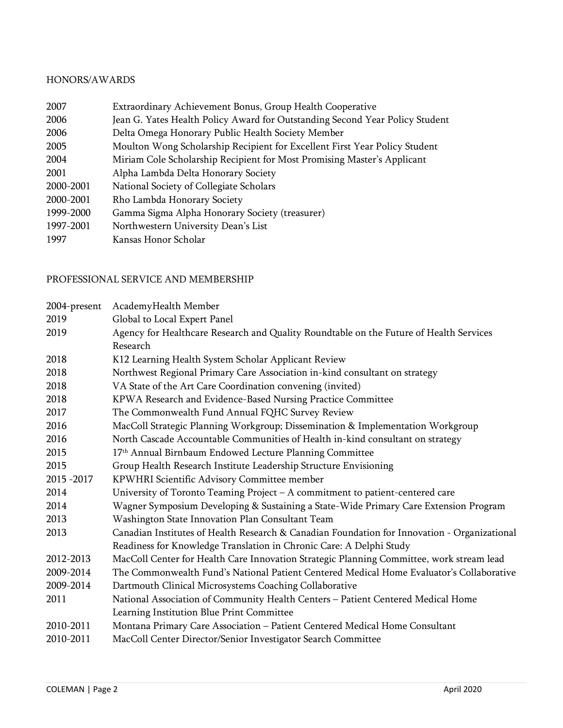#### HONORS/AWARDS

| 2007      | Extraordinary Achievement Bonus, Group Health Cooperative                    |
|-----------|------------------------------------------------------------------------------|
| 2006      | Jean G. Yates Health Policy Award for Outstanding Second Year Policy Student |
| 2006      | Delta Omega Honorary Public Health Society Member                            |
| 2005      | Moulton Wong Scholarship Recipient for Excellent First Year Policy Student   |
| 2004      | Miriam Cole Scholarship Recipient for Most Promising Master's Applicant      |
| 2001      | Alpha Lambda Delta Honorary Society                                          |
| 2000-2001 | National Society of Collegiate Scholars                                      |
| 2000-2001 | Rho Lambda Honorary Society                                                  |
| 1999-2000 | Gamma Sigma Alpha Honorary Society (treasurer)                               |
| 1997-2001 | Northwestern University Dean's List                                          |
| 1997      | Kansas Honor Scholar                                                         |

### PROFESSIONAL SERVICE AND MEMBERSHIP

| 2004-present | AcademyHealth Member                                                                         |  |  |
|--------------|----------------------------------------------------------------------------------------------|--|--|
| 2019         | Global to Local Expert Panel                                                                 |  |  |
| 2019         | Agency for Healthcare Research and Quality Roundtable on the Future of Health Services       |  |  |
|              | Research                                                                                     |  |  |
| 2018         | K12 Learning Health System Scholar Applicant Review                                          |  |  |
| 2018         | Northwest Regional Primary Care Association in-kind consultant on strategy                   |  |  |
| 2018         | VA State of the Art Care Coordination convening (invited)                                    |  |  |
| 2018         | KPWA Research and Evidence-Based Nursing Practice Committee                                  |  |  |
| 2017         | The Commonwealth Fund Annual FQHC Survey Review                                              |  |  |
| 2016         | MacColl Strategic Planning Workgroup; Dissemination & Implementation Workgroup               |  |  |
| 2016         | North Cascade Accountable Communities of Health in-kind consultant on strategy               |  |  |
| 2015         | 17th Annual Birnbaum Endowed Lecture Planning Committee                                      |  |  |
| 2015         | Group Health Research Institute Leadership Structure Envisioning                             |  |  |
| 2015 - 2017  | KPWHRI Scientific Advisory Committee member                                                  |  |  |
| 2014         | University of Toronto Teaming Project - A commitment to patient-centered care                |  |  |
| 2014         | Wagner Symposium Developing & Sustaining a State-Wide Primary Care Extension Program         |  |  |
| 2013         | Washington State Innovation Plan Consultant Team                                             |  |  |
| 2013         | Canadian Institutes of Health Research & Canadian Foundation for Innovation - Organizational |  |  |
|              | Readiness for Knowledge Translation in Chronic Care: A Delphi Study                          |  |  |
| 2012-2013    | MacColl Center for Health Care Innovation Strategic Planning Committee, work stream lead     |  |  |
| 2009-2014    | The Commonwealth Fund's National Patient Centered Medical Home Evaluator's Collaborative     |  |  |
| 2009-2014    | Dartmouth Clinical Microsystems Coaching Collaborative                                       |  |  |
| 2011         | National Association of Community Health Centers - Patient Centered Medical Home             |  |  |
|              | Learning Institution Blue Print Committee                                                    |  |  |
| 2010-2011    | Montana Primary Care Association - Patient Centered Medical Home Consultant                  |  |  |
| 2010-2011    | MacColl Center Director/Senior Investigator Search Committee                                 |  |  |
|              |                                                                                              |  |  |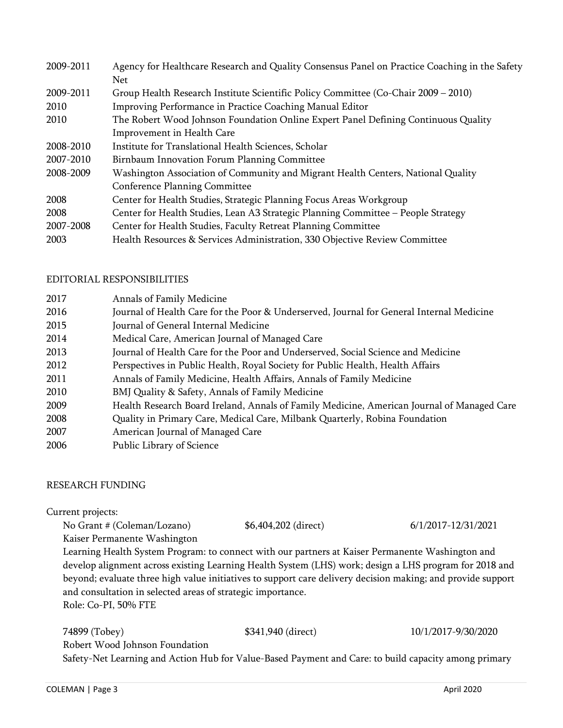| 2009-2011 | Agency for Healthcare Research and Quality Consensus Panel on Practice Coaching in the Safety |  |
|-----------|-----------------------------------------------------------------------------------------------|--|
|           | <b>Net</b>                                                                                    |  |
| 2009-2011 | Group Health Research Institute Scientific Policy Committee (Co-Chair 2009 – 2010)            |  |
| 2010      | Improving Performance in Practice Coaching Manual Editor                                      |  |
| 2010      | The Robert Wood Johnson Foundation Online Expert Panel Defining Continuous Quality            |  |
|           | Improvement in Health Care                                                                    |  |
| 2008-2010 | Institute for Translational Health Sciences, Scholar                                          |  |
| 2007-2010 | Birnbaum Innovation Forum Planning Committee                                                  |  |
| 2008-2009 | Washington Association of Community and Migrant Health Centers, National Quality              |  |
|           | Conference Planning Committee                                                                 |  |
| 2008      | Center for Health Studies, Strategic Planning Focus Areas Workgroup                           |  |
| 2008      | Center for Health Studies, Lean A3 Strategic Planning Committee - People Strategy             |  |
| 2007-2008 | Center for Health Studies, Faculty Retreat Planning Committee                                 |  |
| 2003      | Health Resources & Services Administration, 330 Objective Review Committee                    |  |

#### EDITORIAL RESPONSIBILITIES

| 2017 | Annals of Family Medicine                                                                  |
|------|--------------------------------------------------------------------------------------------|
| 2016 | Journal of Health Care for the Poor & Underserved, Journal for General Internal Medicine   |
| 2015 | Journal of General Internal Medicine                                                       |
| 2014 | Medical Care, American Journal of Managed Care                                             |
| 2013 | Journal of Health Care for the Poor and Underserved, Social Science and Medicine           |
| 2012 | Perspectives in Public Health, Royal Society for Public Health, Health Affairs             |
| 2011 | Annals of Family Medicine, Health Affairs, Annals of Family Medicine                       |
| 2010 | BMJ Quality & Safety, Annals of Family Medicine                                            |
| 2009 | Health Research Board Ireland, Annals of Family Medicine, American Journal of Managed Care |
| 2008 | Quality in Primary Care, Medical Care, Milbank Quarterly, Robina Foundation                |
| 2007 | American Journal of Managed Care                                                           |
| 2006 | Public Library of Science                                                                  |

#### RESEARCH FUNDING

#### Current projects:

No Grant # (Coleman/Lozano) \$6,404,202 (direct) 6/1/2017-12/31/2021 Kaiser Permanente Washington

Learning Health System Program: to connect with our partners at Kaiser Permanente Washington and develop alignment across existing Learning Health System (LHS) work; design a LHS program for 2018 and beyond; evaluate three high value initiatives to support care delivery decision making; and provide support and consultation in selected areas of strategic importance. Role: Co-PI, 50% FTE

74899 (Tobey) \$341,940 (direct) 10/1/2017-9/30/2020 Robert Wood Johnson Foundation

Safety-Net Learning and Action Hub for Value-Based Payment and Care: to build capacity among primary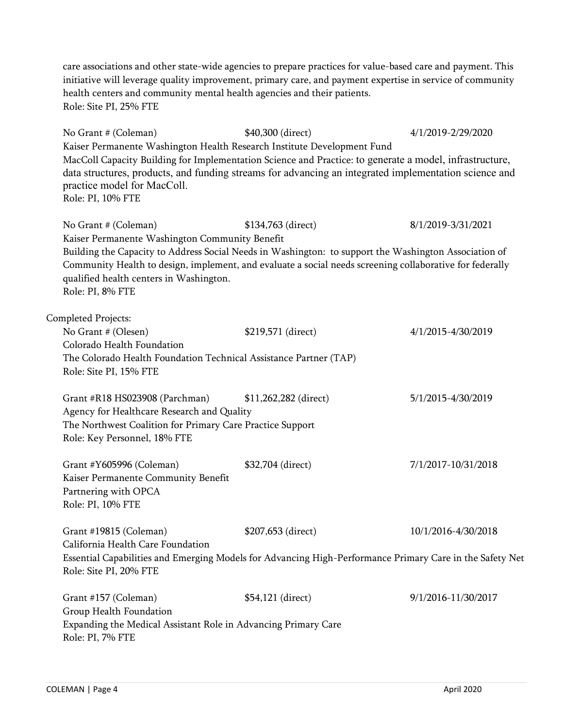care associations and other state-wide agencies to prepare practices for value-based care and payment. This initiative will leverage quality improvement, primary care, and payment expertise in service of community health centers and community mental health agencies and their patients. Role: Site PI, 25% FTE

No Grant # (Coleman) \$40,300 (direct) 4/1/2019-2/29/2020 Kaiser Permanente Washington Health Research Institute Development Fund MacColl Capacity Building for Implementation Science and Practice: to generate a model, infrastructure, data structures, products, and funding streams for advancing an integrated implementation science and practice model for MacColl. Role: PI, 10% FTE No Grant # (Coleman) \$134,763 (direct) 8/1/2019-3/31/2021 Kaiser Permanente Washington Community Benefit Building the Capacity to Address Social Needs in Washington: to support the Washington Association of Community Health to design, implement, and evaluate a social needs screening collaborative for federally qualified health centers in Washington. Role: PI, 8% FTE Completed Projects: No Grant # (Olesen) \$219,571 (direct) 4/1/2015-4/30/2019 Colorado Health Foundation The Colorado Health Foundation Technical Assistance Partner (TAP) Role: Site PI, 15% FTE Grant #R18 HS023908 (Parchman) \$11,262,282 (direct) 5/1/2015-4/30/2019 Agency for Healthcare Research and Quality The Northwest Coalition for Primary Care Practice Support Role: Key Personnel, 18% FTE Grant #Y605996 (Coleman) \$32,704 (direct) 7/1/2017-10/31/2018 Kaiser Permanente Community Benefit Partnering with OPCA Role: PI, 10% FTE Grant #19815 (Coleman) \$207,653 (direct) 10/1/2016-4/30/2018 California Health Care Foundation Essential Capabilities and Emerging Models for Advancing High-Performance Primary Care in the Safety Net Role: Site PI, 20% FTE Grant #157 (Coleman) \$54,121 (direct) 9/1/2016-11/30/2017 Group Health Foundation Expanding the Medical Assistant Role in Advancing Primary Care Role: PI, 7% FTE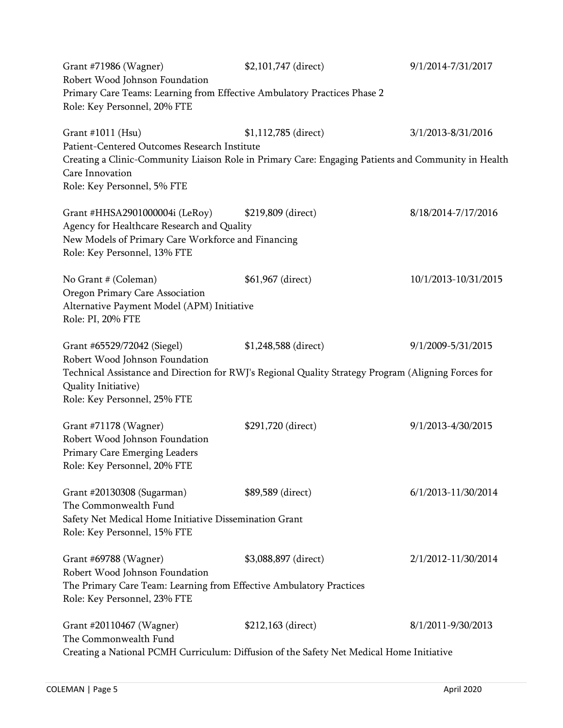| Grant #71986 (Wagner)<br>Robert Wood Johnson Foundation<br>Primary Care Teams: Learning from Effective Ambulatory Practices Phase 2<br>Role: Key Personnel, 20% FTE                                                         | \$2,101,747 (direct) | 9/1/2014-7/31/2017   |
|-----------------------------------------------------------------------------------------------------------------------------------------------------------------------------------------------------------------------------|----------------------|----------------------|
| Grant #1011 (Hsu)<br>Patient-Centered Outcomes Research Institute<br>Creating a Clinic-Community Liaison Role in Primary Care: Engaging Patients and Community in Health<br>Care Innovation<br>Role: Key Personnel, 5% FTE  | \$1,112,785 (direct) | 3/1/2013-8/31/2016   |
| Grant #HHSA2901000004i (LeRoy)<br>Agency for Healthcare Research and Quality<br>New Models of Primary Care Workforce and Financing<br>Role: Key Personnel, 13% FTE                                                          | \$219,809 (direct)   | 8/18/2014-7/17/2016  |
| No Grant # (Coleman)<br>Oregon Primary Care Association<br>Alternative Payment Model (APM) Initiative<br>Role: PI, 20% FTE                                                                                                  | \$61,967 (direct)    | 10/1/2013-10/31/2015 |
| Grant #65529/72042 (Siegel)<br>Robert Wood Johnson Foundation<br>Technical Assistance and Direction for RWJ's Regional Quality Strategy Program (Aligning Forces for<br>Quality Initiative)<br>Role: Key Personnel, 25% FTE | \$1,248,588 (direct) | 9/1/2009-5/31/2015   |
| Grant #71178 (Wagner)<br>Robert Wood Johnson Foundation<br>Primary Care Emerging Leaders<br>Role: Key Personnel, 20% FTE                                                                                                    | \$291,720 (direct)   | 9/1/2013-4/30/2015   |
| Grant #20130308 (Sugarman)<br>The Commonwealth Fund<br>Safety Net Medical Home Initiative Dissemination Grant<br>Role: Key Personnel, 15% FTE                                                                               | \$89,589 (direct)    | 6/1/2013-11/30/2014  |
| Grant #69788 (Wagner)<br>Robert Wood Johnson Foundation<br>The Primary Care Team: Learning from Effective Ambulatory Practices<br>Role: Key Personnel, 23% FTE                                                              | \$3,088,897 (direct) | 2/1/2012-11/30/2014  |
| Grant #20110467 (Wagner)<br>The Commonwealth Fund<br>Creating a National PCMH Curriculum: Diffusion of the Safety Net Medical Home Initiative                                                                               | \$212,163 (direct)   | 8/1/2011-9/30/2013   |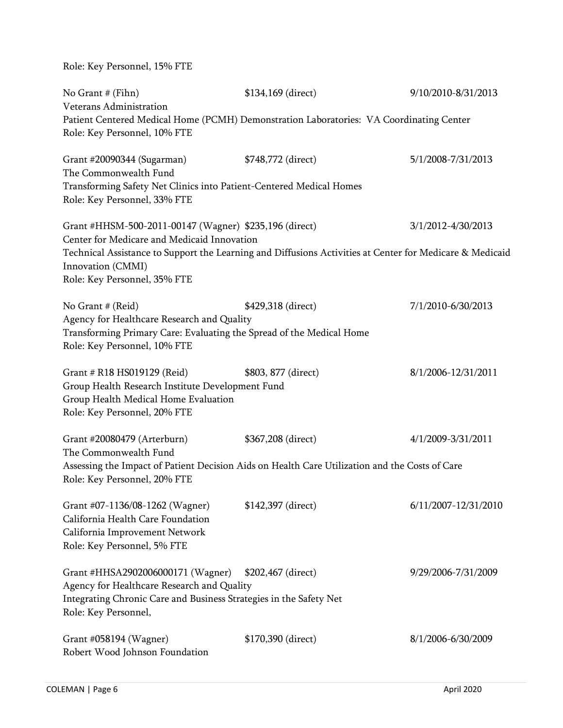Role: Key Personnel, 15% FTE

| No Grant # (Fihn)<br>Veterans Administration                                                                                                                                                                                                                           | \$134,169 (direct)  | 9/10/2010-8/31/2013  |
|------------------------------------------------------------------------------------------------------------------------------------------------------------------------------------------------------------------------------------------------------------------------|---------------------|----------------------|
| Patient Centered Medical Home (PCMH) Demonstration Laboratories: VA Coordinating Center<br>Role: Key Personnel, 10% FTE                                                                                                                                                |                     |                      |
| Grant #20090344 (Sugarman)<br>The Commonwealth Fund<br>Transforming Safety Net Clinics into Patient-Centered Medical Homes<br>Role: Key Personnel, 33% FTE                                                                                                             | \$748,772 (direct)  | 5/1/2008-7/31/2013   |
| Grant #HHSM-500-2011-00147 (Wagner) \$235,196 (direct)<br>Center for Medicare and Medicaid Innovation<br>Technical Assistance to Support the Learning and Diffusions Activities at Center for Medicare & Medicaid<br>Innovation (CMMI)<br>Role: Key Personnel, 35% FTE |                     | 3/1/2012-4/30/2013   |
| No Grant # (Reid)<br>Agency for Healthcare Research and Quality<br>Transforming Primary Care: Evaluating the Spread of the Medical Home<br>Role: Key Personnel, 10% FTE                                                                                                | \$429,318 (direct)  | 7/1/2010-6/30/2013   |
| Grant # R18 HS019129 (Reid)<br>Group Health Research Institute Development Fund<br>Group Health Medical Home Evaluation<br>Role: Key Personnel, 20% FTE                                                                                                                | \$803, 877 (direct) | 8/1/2006-12/31/2011  |
| Grant #20080479 (Arterburn)<br>The Commonwealth Fund<br>Assessing the Impact of Patient Decision Aids on Health Care Utilization and the Costs of Care<br>Role: Key Personnel, 20% FTE                                                                                 | \$367,208 (direct)  | 4/1/2009-3/31/2011   |
| Grant #07-1136/08-1262 (Wagner)<br>California Health Care Foundation<br>California Improvement Network<br>Role: Key Personnel, 5% FTE                                                                                                                                  | \$142,397 (direct)  | 6/11/2007-12/31/2010 |
| Grant #HHSA2902006000171 (Wagner)<br>Agency for Healthcare Research and Quality<br>Integrating Chronic Care and Business Strategies in the Safety Net<br>Role: Key Personnel,                                                                                          | \$202,467 (direct)  | 9/29/2006-7/31/2009  |
| Grant #058194 (Wagner)<br>Robert Wood Johnson Foundation                                                                                                                                                                                                               | \$170,390 (direct)  | 8/1/2006-6/30/2009   |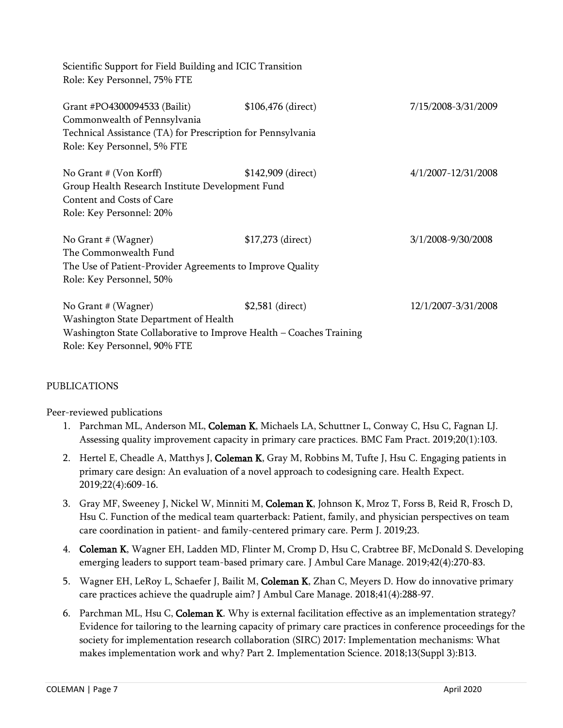| Scientific Support for Field Building and ICIC Transition                                                                             |                    |                     |  |
|---------------------------------------------------------------------------------------------------------------------------------------|--------------------|---------------------|--|
| Role: Key Personnel, 75% FTE                                                                                                          |                    |                     |  |
| Grant #PO4300094533 (Bailit)<br>Commonwealth of Pennsylvania                                                                          | \$106,476 (direct) | 7/15/2008-3/31/2009 |  |
| Technical Assistance (TA) for Prescription for Pennsylvania<br>Role: Key Personnel, 5% FTE                                            |                    |                     |  |
| No Grant $#$ (Von Korff)<br>Group Health Research Institute Development Fund<br>Content and Costs of Care<br>Role: Key Personnel: 20% | \$142,909 (direct) | 4/1/2007-12/31/2008 |  |
| No Grant $#$ (Wagner)<br>The Commonwealth Fund                                                                                        | \$17,273 (direct)  | 3/1/2008-9/30/2008  |  |
| The Use of Patient-Provider Agreements to Improve Quality                                                                             |                    |                     |  |
| Role: Key Personnel, 50%                                                                                                              |                    |                     |  |
| No Grant $#$ (Wagner)                                                                                                                 | \$2,581 (direct)   | 12/1/2007-3/31/2008 |  |
| Washington State Department of Health                                                                                                 |                    |                     |  |
| Washington State Collaborative to Improve Health - Coaches Training                                                                   |                    |                     |  |
| Role: Key Personnel, 90% FTE                                                                                                          |                    |                     |  |

#### PUBLICATIONS

Peer-reviewed publications

- 1. Parchman ML, Anderson ML, Coleman K, Michaels LA, Schuttner L, Conway C, Hsu C, Fagnan LJ. Assessing quality improvement capacity in primary care practices. BMC Fam Pract. 2019;20(1):103.
- 2. Hertel E, Cheadle A, Matthys J, Coleman K, Gray M, Robbins M, Tufte J, Hsu C. Engaging patients in primary care design: An evaluation of a novel approach to codesigning care. Health Expect. 2019;22(4):609-16.
- 3. Gray MF, Sweeney J, Nickel W, Minniti M, Coleman K, Johnson K, Mroz T, Forss B, Reid R, Frosch D, Hsu C. Function of the medical team quarterback: Patient, family, and physician perspectives on team care coordination in patient- and family-centered primary care. Perm J. 2019;23.
- 4. Coleman K, Wagner EH, Ladden MD, Flinter M, Cromp D, Hsu C, Crabtree BF, McDonald S. Developing emerging leaders to support team-based primary care. J Ambul Care Manage. 2019;42(4):270-83.
- 5. Wagner EH, LeRoy L, Schaefer J, Bailit M, Coleman K, Zhan C, Meyers D. How do innovative primary care practices achieve the quadruple aim? J Ambul Care Manage. 2018;41(4):288-97.
- 6. Parchman ML, Hsu C, Coleman K. Why is external facilitation effective as an implementation strategy? Evidence for tailoring to the learning capacity of primary care practices in conference proceedings for the society for implementation research collaboration (SIRC) 2017: Implementation mechanisms: What makes implementation work and why? Part 2. Implementation Science. 2018;13(Suppl 3):B13.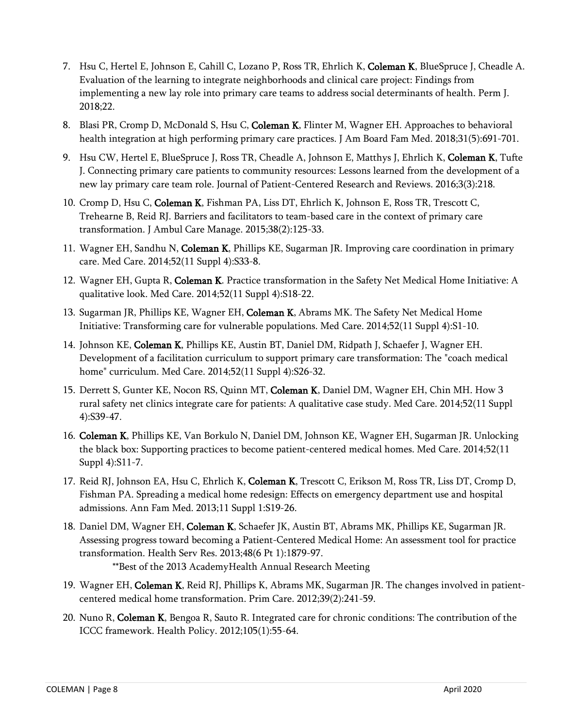- 7. Hsu C, Hertel E, Johnson E, Cahill C, Lozano P, Ross TR, Ehrlich K, Coleman K, BlueSpruce J, Cheadle A. Evaluation of the learning to integrate neighborhoods and clinical care project: Findings from implementing a new lay role into primary care teams to address social determinants of health. Perm J. 2018;22.
- 8. Blasi PR, Cromp D, McDonald S, Hsu C, Coleman K, Flinter M, Wagner EH. Approaches to behavioral health integration at high performing primary care practices. J Am Board Fam Med. 2018;31(5):691-701.
- 9. Hsu CW, Hertel E, BlueSpruce J, Ross TR, Cheadle A, Johnson E, Matthys J, Ehrlich K, Coleman K, Tufte J. Connecting primary care patients to community resources: Lessons learned from the development of a new lay primary care team role. Journal of Patient-Centered Research and Reviews. 2016;3(3):218.
- 10. Cromp D, Hsu C, Coleman K, Fishman PA, Liss DT, Ehrlich K, Johnson E, Ross TR, Trescott C, Trehearne B, Reid RJ. Barriers and facilitators to team-based care in the context of primary care transformation. J Ambul Care Manage. 2015;38(2):125-33.
- 11. Wagner EH, Sandhu N, Coleman K, Phillips KE, Sugarman JR. Improving care coordination in primary care. Med Care. 2014;52(11 Suppl 4):S33-8.
- 12. Wagner EH, Gupta R, Coleman K. Practice transformation in the Safety Net Medical Home Initiative: A qualitative look. Med Care. 2014;52(11 Suppl 4):S18-22.
- 13. Sugarman JR, Phillips KE, Wagner EH, Coleman K, Abrams MK. The Safety Net Medical Home Initiative: Transforming care for vulnerable populations. Med Care. 2014;52(11 Suppl 4):S1-10.
- 14. Johnson KE, Coleman K, Phillips KE, Austin BT, Daniel DM, Ridpath J, Schaefer J, Wagner EH. Development of a facilitation curriculum to support primary care transformation: The "coach medical home" curriculum. Med Care. 2014;52(11 Suppl 4):S26-32.
- 15. Derrett S, Gunter KE, Nocon RS, Quinn MT, Coleman K, Daniel DM, Wagner EH, Chin MH. How 3 rural safety net clinics integrate care for patients: A qualitative case study. Med Care. 2014;52(11 Suppl 4):S39-47.
- 16. Coleman K, Phillips KE, Van Borkulo N, Daniel DM, Johnson KE, Wagner EH, Sugarman JR. Unlocking the black box: Supporting practices to become patient-centered medical homes. Med Care. 2014;52(11 Suppl 4):S11-7.
- 17. Reid RJ, Johnson EA, Hsu C, Ehrlich K, Coleman K, Trescott C, Erikson M, Ross TR, Liss DT, Cromp D, Fishman PA. Spreading a medical home redesign: Effects on emergency department use and hospital admissions. Ann Fam Med. 2013;11 Suppl 1:S19-26.
- 18. Daniel DM, Wagner EH, Coleman K, Schaefer JK, Austin BT, Abrams MK, Phillips KE, Sugarman JR. Assessing progress toward becoming a Patient-Centered Medical Home: An assessment tool for practice transformation. Health Serv Res. 2013;48(6 Pt 1):1879-97. \*\*Best of the 2013 AcademyHealth Annual Research Meeting
- 19. Wagner EH, Coleman K, Reid RJ, Phillips K, Abrams MK, Sugarman JR. The changes involved in patientcentered medical home transformation. Prim Care. 2012;39(2):241-59.
- 20. Nuno R, Coleman K, Bengoa R, Sauto R. Integrated care for chronic conditions: The contribution of the ICCC framework. Health Policy. 2012;105(1):55-64.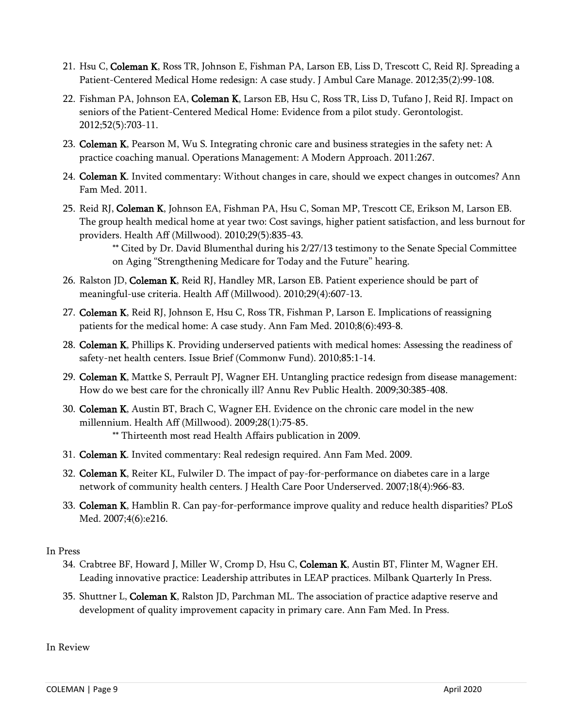- 21. Hsu C, Coleman K, Ross TR, Johnson E, Fishman PA, Larson EB, Liss D, Trescott C, Reid RJ. Spreading a Patient-Centered Medical Home redesign: A case study. J Ambul Care Manage. 2012;35(2):99-108.
- 22. Fishman PA, Johnson EA, Coleman K, Larson EB, Hsu C, Ross TR, Liss D, Tufano J, Reid RJ. Impact on seniors of the Patient-Centered Medical Home: Evidence from a pilot study. Gerontologist. 2012;52(5):703-11.
- 23. Coleman K, Pearson M, Wu S. Integrating chronic care and business strategies in the safety net: A practice coaching manual. Operations Management: A Modern Approach. 2011:267.
- 24. Coleman K. Invited commentary: Without changes in care, should we expect changes in outcomes? Ann Fam Med. 2011.
- 25. Reid RJ, Coleman K, Johnson EA, Fishman PA, Hsu C, Soman MP, Trescott CE, Erikson M, Larson EB. The group health medical home at year two: Cost savings, higher patient satisfaction, and less burnout for providers. Health Aff (Millwood). 2010;29(5):835-43.

\*\* Cited by Dr. David Blumenthal during his 2/27/13 testimony to the Senate Special Committee on Aging "Strengthening Medicare for Today and the Future" hearing.

- 26. Ralston JD, Coleman K, Reid RJ, Handley MR, Larson EB. Patient experience should be part of meaningful-use criteria. Health Aff (Millwood). 2010;29(4):607-13.
- 27. Coleman K, Reid RJ, Johnson E, Hsu C, Ross TR, Fishman P, Larson E. Implications of reassigning patients for the medical home: A case study. Ann Fam Med. 2010;8(6):493-8.
- 28. Coleman K, Phillips K. Providing underserved patients with medical homes: Assessing the readiness of safety-net health centers. Issue Brief (Commonw Fund). 2010;85:1-14.
- 29. Coleman K, Mattke S, Perrault PJ, Wagner EH. Untangling practice redesign from disease management: How do we best care for the chronically ill? Annu Rev Public Health. 2009;30:385-408.
- 30. Coleman K, Austin BT, Brach C, Wagner EH. Evidence on the chronic care model in the new millennium. Health Aff (Millwood). 2009;28(1):75-85. \*\* Thirteenth most read Health Affairs publication in 2009.
- 31. Coleman K. Invited commentary: Real redesign required. Ann Fam Med. 2009.
- 32. Coleman K, Reiter KL, Fulwiler D. The impact of pay-for-performance on diabetes care in a large network of community health centers. J Health Care Poor Underserved. 2007;18(4):966-83.
- 33. Coleman K, Hamblin R. Can pay-for-performance improve quality and reduce health disparities? PLoS Med. 2007;4(6):e216.

In Press

- 34. Crabtree BF, Howard J, Miller W, Cromp D, Hsu C, Coleman K, Austin BT, Flinter M, Wagner EH. Leading innovative practice: Leadership attributes in LEAP practices. Milbank Quarterly In Press.
- 35. Shuttner L, Coleman K, Ralston JD, Parchman ML. The association of practice adaptive reserve and development of quality improvement capacity in primary care. Ann Fam Med. In Press.

In Review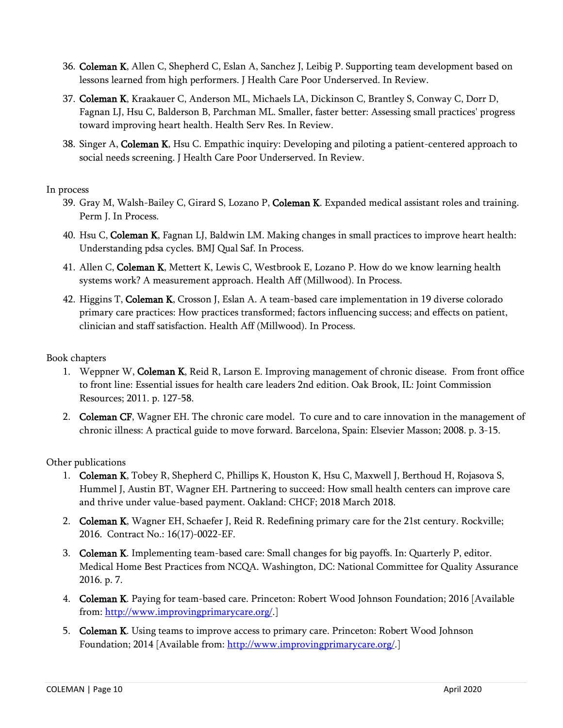- 36. Coleman K, Allen C, Shepherd C, Eslan A, Sanchez J, Leibig P. Supporting team development based on lessons learned from high performers. J Health Care Poor Underserved. In Review.
- 37. Coleman K, Kraakauer C, Anderson ML, Michaels LA, Dickinson C, Brantley S, Conway C, Dorr D, Fagnan LJ, Hsu C, Balderson B, Parchman ML. Smaller, faster better: Assessing small practices' progress toward improving heart health. Health Serv Res. In Review.
- 38. Singer A, Coleman K, Hsu C. Empathic inquiry: Developing and piloting a patient-centered approach to social needs screening. J Health Care Poor Underserved. In Review.

## In process

- 39. Gray M, Walsh-Bailey C, Girard S, Lozano P, Coleman K. Expanded medical assistant roles and training. Perm J. In Process.
- 40. Hsu C, Coleman K, Fagnan LJ, Baldwin LM. Making changes in small practices to improve heart health: Understanding pdsa cycles. BMJ Qual Saf. In Process.
- 41. Allen C, Coleman K, Mettert K, Lewis C, Westbrook E, Lozano P. How do we know learning health systems work? A measurement approach. Health Aff (Millwood). In Process.
- 42. Higgins T, Coleman K, Crosson J, Eslan A. A team-based care implementation in 19 diverse colorado primary care practices: How practices transformed; factors influencing success; and effects on patient, clinician and staff satisfaction. Health Aff (Millwood). In Process.

## Book chapters

- 1. Weppner W, Coleman K, Reid R, Larson E. Improving management of chronic disease. From front office to front line: Essential issues for health care leaders 2nd edition. Oak Brook, IL: Joint Commission Resources; 2011. p. 127-58.
- 2. Coleman CF, Wagner EH. The chronic care model. To cure and to care innovation in the management of chronic illness: A practical guide to move forward. Barcelona, Spain: Elsevier Masson; 2008. p. 3-15.

Other publications

- 1. Coleman K, Tobey R, Shepherd C, Phillips K, Houston K, Hsu C, Maxwell J, Berthoud H, Rojasova S, Hummel J, Austin BT, Wagner EH. Partnering to succeed: How small health centers can improve care and thrive under value-based payment. Oakland: CHCF; 2018 March 2018.
- 2. Coleman K, Wagner EH, Schaefer J, Reid R. Redefining primary care for the 21st century. Rockville; 2016. Contract No.: 16(17)-0022-EF.
- 3. Coleman K. Implementing team-based care: Small changes for big payoffs. In: Quarterly P, editor. Medical Home Best Practices from NCQA. Washington, DC: National Committee for Quality Assurance 2016. p. 7.
- 4. Coleman K. Paying for team-based care. Princeton: Robert Wood Johnson Foundation; 2016 [Available from: [http://www.improvingprimarycare.org/.](http://www.improvingprimarycare.org/)]
- 5. Coleman K. Using teams to improve access to primary care. Princeton: Robert Wood Johnson Foundation; 2014 [Available from: [http://www.improvingprimarycare.org/.](http://www.improvingprimarycare.org/)]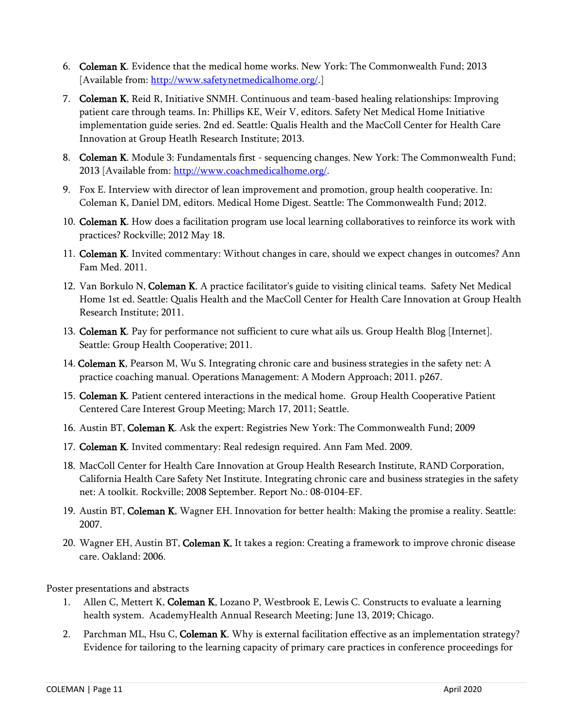- 6. Coleman K. Evidence that the medical home works. New York: The Commonwealth Fund; 2013 [Available from: [http://www.safetynetmedicalhome.org/.](http://www.safetynetmedicalhome.org/)]
- 7. Coleman K, Reid R, Initiative SNMH. Continuous and team-based healing relationships: Improving patient care through teams. In: Phillips KE, Weir V, editors. Safety Net Medical Home Initiative implementation guide series. 2nd ed. Seattle: Qualis Health and the MacColl Center for Health Care Innovation at Group Heatlh Research Institute; 2013.
- 8. Coleman K. Module 3: Fundamentals first sequencing changes. New York: The Commonwealth Fund; 2013 [Available from[: http://www.coachmedicalhome.org/.](http://www.coachmedicalhome.org/)
- 9. Fox E. Interview with director of lean improvement and promotion, group health cooperative. In: Coleman K, Daniel DM, editors. Medical Home Digest. Seattle: The Commonwealth Fund; 2012.
- 10. Coleman K. How does a facilitation program use local learning collaboratives to reinforce its work with practices? Rockville; 2012 May 18.
- 11. Coleman K. Invited commentary: Without changes in care, should we expect changes in outcomes? Ann Fam Med. 2011.
- 12. Van Borkulo N, Coleman K. A practice facilitator's guide to visiting clinical teams. Safety Net Medical Home 1st ed. Seattle: Qualis Health and the MacColl Center for Health Care Innovation at Group Health Research Institute; 2011.
- 13. Coleman K. Pay for performance not sufficient to cure what ails us. Group Health Blog [Internet]. Seattle: Group Health Cooperative; 2011.
- 14. Coleman K, Pearson M, Wu S. Integrating chronic care and business strategies in the safety net: A practice coaching manual. Operations Management: A Modern Approach; 2011. p267.
- 15. Coleman K. Patient centered interactions in the medical home. Group Health Cooperative Patient Centered Care Interest Group Meeting; March 17, 2011; Seattle.
- 16. Austin BT, Coleman K. Ask the expert: Registries New York: The Commonwealth Fund; 2009
- 17. Coleman K. Invited commentary: Real redesign required. Ann Fam Med. 2009.
- 18. MacColl Center for Health Care Innovation at Group Health Research Institute, RAND Corporation, California Health Care Safety Net Institute. Integrating chronic care and business strategies in the safety net: A toolkit. Rockville; 2008 September. Report No.: 08-0104-EF.
- 19. Austin BT, Coleman K, Wagner EH. Innovation for better health: Making the promise a reality. Seattle: 2007.
- 20. Wagner EH, Austin BT, Coleman K. It takes a region: Creating a framework to improve chronic disease care. Oakland: 2006.

Poster presentations and abstracts

- 1. Allen C, Mettert K, Coleman K, Lozano P, Westbrook E, Lewis C. Constructs to evaluate a learning health system. AcademyHealth Annual Research Meeting; June 13, 2019; Chicago.
- 2. Parchman ML, Hsu C, Coleman K. Why is external facilitation effective as an implementation strategy? Evidence for tailoring to the learning capacity of primary care practices in conference proceedings for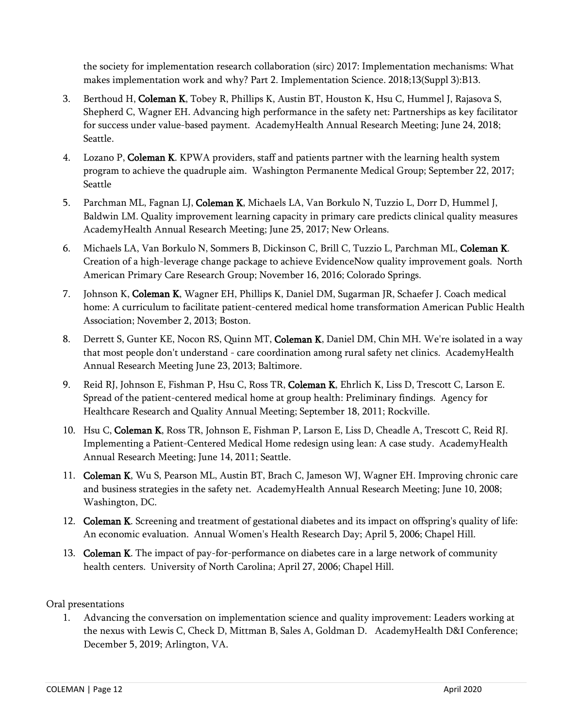the society for implementation research collaboration (sirc) 2017: Implementation mechanisms: What makes implementation work and why? Part 2. Implementation Science. 2018;13(Suppl 3):B13.

- 3. Berthoud H, Coleman K, Tobey R, Phillips K, Austin BT, Houston K, Hsu C, Hummel J, Rajasova S, Shepherd C, Wagner EH. Advancing high performance in the safety net: Partnerships as key facilitator for success under value-based payment. AcademyHealth Annual Research Meeting; June 24, 2018; Seattle.
- 4. Lozano P, Coleman K. KPWA providers, staff and patients partner with the learning health system program to achieve the quadruple aim. Washington Permanente Medical Group; September 22, 2017; Seattle
- 5. Parchman ML, Fagnan LJ, Coleman K, Michaels LA, Van Borkulo N, Tuzzio L, Dorr D, Hummel J, Baldwin LM. Quality improvement learning capacity in primary care predicts clinical quality measures AcademyHealth Annual Research Meeting; June 25, 2017; New Orleans.
- 6. Michaels LA, Van Borkulo N, Sommers B, Dickinson C, Brill C, Tuzzio L, Parchman ML, Coleman K. Creation of a high-leverage change package to achieve EvidenceNow quality improvement goals. North American Primary Care Research Group; November 16, 2016; Colorado Springs.
- 7. Johnson K, Coleman K, Wagner EH, Phillips K, Daniel DM, Sugarman JR, Schaefer J. Coach medical home: A curriculum to facilitate patient-centered medical home transformation American Public Health Association; November 2, 2013; Boston.
- 8. Derrett S, Gunter KE, Nocon RS, Quinn MT, Coleman K, Daniel DM, Chin MH. We're isolated in a way that most people don't understand - care coordination among rural safety net clinics. AcademyHealth Annual Research Meeting June 23, 2013; Baltimore.
- 9. Reid RJ, Johnson E, Fishman P, Hsu C, Ross TR, Coleman K, Ehrlich K, Liss D, Trescott C, Larson E. Spread of the patient-centered medical home at group health: Preliminary findings. Agency for Healthcare Research and Quality Annual Meeting; September 18, 2011; Rockville.
- 10. Hsu C, Coleman K, Ross TR, Johnson E, Fishman P, Larson E, Liss D, Cheadle A, Trescott C, Reid RJ. Implementing a Patient-Centered Medical Home redesign using lean: A case study. AcademyHealth Annual Research Meeting; June 14, 2011; Seattle.
- 11. Coleman K, Wu S, Pearson ML, Austin BT, Brach C, Jameson WJ, Wagner EH. Improving chronic care and business strategies in the safety net. AcademyHealth Annual Research Meeting; June 10, 2008; Washington, DC.
- 12. Coleman K. Screening and treatment of gestational diabetes and its impact on offspring's quality of life: An economic evaluation. Annual Women's Health Research Day; April 5, 2006; Chapel Hill.
- 13. Coleman K. The impact of pay-for-performance on diabetes care in a large network of community health centers. University of North Carolina; April 27, 2006; Chapel Hill.

# Oral presentations

1. Advancing the conversation on implementation science and quality improvement: Leaders working at the nexus with Lewis C, Check D, Mittman B, Sales A, Goldman D. AcademyHealth D&I Conference; December 5, 2019; Arlington, VA.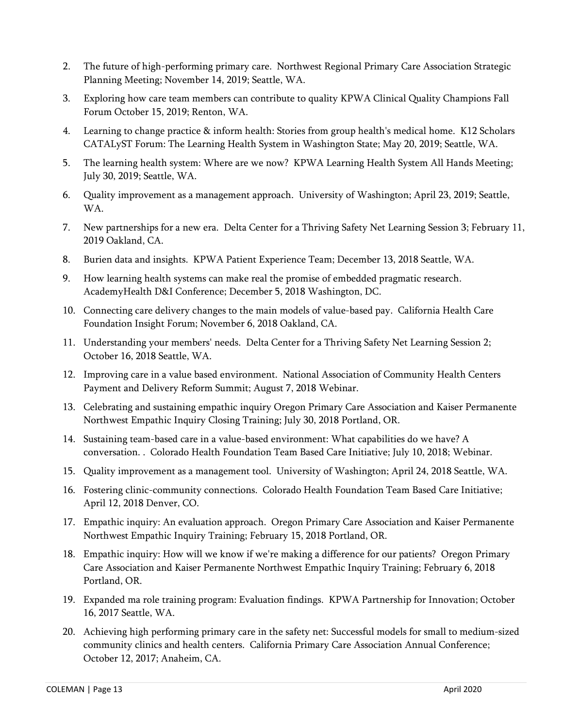- 2. The future of high-performing primary care. Northwest Regional Primary Care Association Strategic Planning Meeting; November 14, 2019; Seattle, WA.
- 3. Exploring how care team members can contribute to quality KPWA Clinical Quality Champions Fall Forum October 15, 2019; Renton, WA.
- 4. Learning to change practice & inform health: Stories from group health's medical home. K12 Scholars CATALyST Forum: The Learning Health System in Washington State; May 20, 2019; Seattle, WA.
- 5. The learning health system: Where are we now? KPWA Learning Health System All Hands Meeting; July 30, 2019; Seattle, WA.
- 6. Quality improvement as a management approach. University of Washington; April 23, 2019; Seattle, WA.
- 7. New partnerships for a new era. Delta Center for a Thriving Safety Net Learning Session 3; February 11, 2019 Oakland, CA.
- 8. Burien data and insights. KPWA Patient Experience Team; December 13, 2018 Seattle, WA.
- 9. How learning health systems can make real the promise of embedded pragmatic research. AcademyHealth D&I Conference; December 5, 2018 Washington, DC.
- 10. Connecting care delivery changes to the main models of value-based pay. California Health Care Foundation Insight Forum; November 6, 2018 Oakland, CA.
- 11. Understanding your members' needs. Delta Center for a Thriving Safety Net Learning Session 2; October 16, 2018 Seattle, WA.
- 12. Improving care in a value based environment. National Association of Community Health Centers Payment and Delivery Reform Summit; August 7, 2018 Webinar.
- 13. Celebrating and sustaining empathic inquiry Oregon Primary Care Association and Kaiser Permanente Northwest Empathic Inquiry Closing Training; July 30, 2018 Portland, OR.
- 14. Sustaining team-based care in a value-based environment: What capabilities do we have? A conversation. . Colorado Health Foundation Team Based Care Initiative; July 10, 2018; Webinar.
- 15. Quality improvement as a management tool. University of Washington; April 24, 2018 Seattle, WA.
- 16. Fostering clinic-community connections. Colorado Health Foundation Team Based Care Initiative; April 12, 2018 Denver, CO.
- 17. Empathic inquiry: An evaluation approach. Oregon Primary Care Association and Kaiser Permanente Northwest Empathic Inquiry Training; February 15, 2018 Portland, OR.
- 18. Empathic inquiry: How will we know if we're making a difference for our patients? Oregon Primary Care Association and Kaiser Permanente Northwest Empathic Inquiry Training; February 6, 2018 Portland, OR.
- 19. Expanded ma role training program: Evaluation findings. KPWA Partnership for Innovation; October 16, 2017 Seattle, WA.
- 20. Achieving high performing primary care in the safety net: Successful models for small to medium-sized community clinics and health centers. California Primary Care Association Annual Conference; October 12, 2017; Anaheim, CA.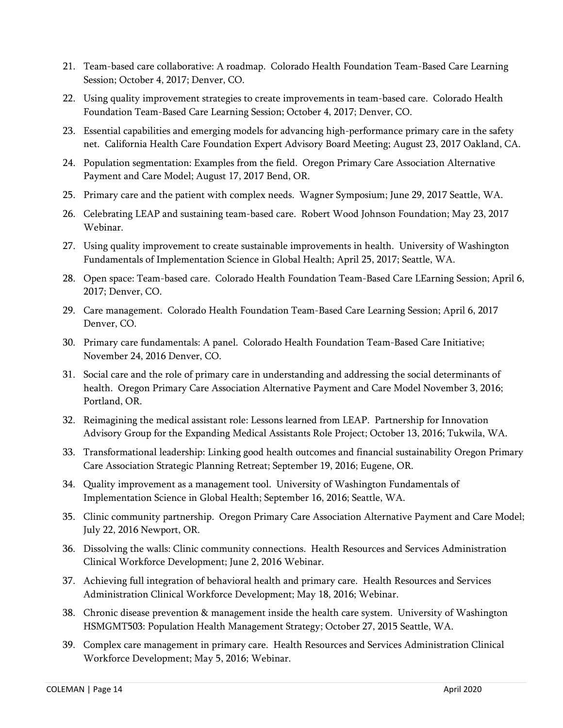- 21. Team-based care collaborative: A roadmap. Colorado Health Foundation Team-Based Care Learning Session; October 4, 2017; Denver, CO.
- 22. Using quality improvement strategies to create improvements in team-based care. Colorado Health Foundation Team-Based Care Learning Session; October 4, 2017; Denver, CO.
- 23. Essential capabilities and emerging models for advancing high-performance primary care in the safety net. California Health Care Foundation Expert Advisory Board Meeting; August 23, 2017 Oakland, CA.
- 24. Population segmentation: Examples from the field. Oregon Primary Care Association Alternative Payment and Care Model; August 17, 2017 Bend, OR.
- 25. Primary care and the patient with complex needs. Wagner Symposium; June 29, 2017 Seattle, WA.
- 26. Celebrating LEAP and sustaining team-based care. Robert Wood Johnson Foundation; May 23, 2017 Webinar.
- 27. Using quality improvement to create sustainable improvements in health. University of Washington Fundamentals of Implementation Science in Global Health; April 25, 2017; Seattle, WA.
- 28. Open space: Team-based care. Colorado Health Foundation Team-Based Care LEarning Session; April 6, 2017; Denver, CO.
- 29. Care management. Colorado Health Foundation Team-Based Care Learning Session; April 6, 2017 Denver, CO.
- 30. Primary care fundamentals: A panel. Colorado Health Foundation Team-Based Care Initiative; November 24, 2016 Denver, CO.
- 31. Social care and the role of primary care in understanding and addressing the social determinants of health. Oregon Primary Care Association Alternative Payment and Care Model November 3, 2016; Portland, OR.
- 32. Reimagining the medical assistant role: Lessons learned from LEAP. Partnership for Innovation Advisory Group for the Expanding Medical Assistants Role Project; October 13, 2016; Tukwila, WA.
- 33. Transformational leadership: Linking good health outcomes and financial sustainability Oregon Primary Care Association Strategic Planning Retreat; September 19, 2016; Eugene, OR.
- 34. Quality improvement as a management tool. University of Washington Fundamentals of Implementation Science in Global Health; September 16, 2016; Seattle, WA.
- 35. Clinic community partnership. Oregon Primary Care Association Alternative Payment and Care Model; July 22, 2016 Newport, OR.
- 36. Dissolving the walls: Clinic community connections. Health Resources and Services Administration Clinical Workforce Development; June 2, 2016 Webinar.
- 37. Achieving full integration of behavioral health and primary care. Health Resources and Services Administration Clinical Workforce Development; May 18, 2016; Webinar.
- 38. Chronic disease prevention & management inside the health care system. University of Washington HSMGMT503: Population Health Management Strategy; October 27, 2015 Seattle, WA.
- 39. Complex care management in primary care. Health Resources and Services Administration Clinical Workforce Development; May 5, 2016; Webinar.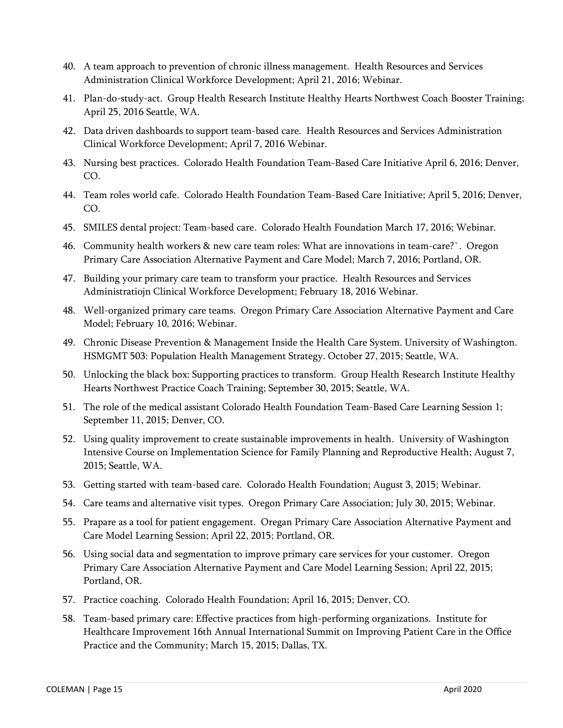- 40. A team approach to prevention of chronic illness management. Health Resources and Services Administration Clinical Workforce Development; April 21, 2016; Webinar.
- 41. Plan-do-study-act. Group Health Research Institute Healthy Hearts Northwest Coach Booster Training; April 25, 2016 Seattle, WA.
- 42. Data driven dashboards to support team-based care. Health Resources and Services Administration Clinical Workforce Development; April 7, 2016 Webinar.
- 43. Nursing best practices. Colorado Health Foundation Team-Based Care Initiative April 6, 2016; Denver, CO.
- 44. Team roles world cafe. Colorado Health Foundation Team-Based Care Initiative; April 5, 2016; Denver, CO.
- 45. SMILES dental project: Team-based care. Colorado Health Foundation March 17, 2016; Webinar.
- 46. Community health workers & new care team roles: What are innovations in team-care?`. Oregon Primary Care Association Alternative Payment and Care Model; March 7, 2016; Portland, OR.
- 47. Building your primary care team to transform your practice. Health Resources and Services Administratiojn Clinical Workforce Development; February 18, 2016 Webinar.
- 48. Well-organized primary care teams. Oregon Primary Care Association Alternative Payment and Care Model; February 10, 2016; Webinar.
- 49. Chronic Disease Prevention & Management Inside the Health Care System. University of Washington. HSMGMT 503: Population Health Management Strategy. October 27, 2015; Seattle, WA.
- 50. Unlocking the black box: Supporting practices to transform. Group Health Research Institute Healthy Hearts Northwest Practice Coach Training; September 30, 2015; Seattle, WA.
- 51. The role of the medical assistant Colorado Health Foundation Team-Based Care Learning Session 1; September 11, 2015; Denver, CO.
- 52. Using quality improvement to create sustainable improvements in health. University of Washington Intensive Course on Implementation Science for Family Planning and Reproductive Health; August 7, 2015; Seattle, WA.
- 53. Getting started with team-based care. Colorado Health Foundation; August 3, 2015; Webinar.
- 54. Care teams and alternative visit types. Oregon Primary Care Association; July 30, 2015; Webinar.
- 55. Prapare as a tool for patient engagement. Oregan Primary Care Association Alternative Payment and Care Model Learning Session; April 22, 2015; Portland, OR.
- 56. Using social data and segmentation to improve primary care services for your customer. Oregon Primary Care Association Alternative Payment and Care Model Learning Session; April 22, 2015; Portland, OR.
- 57. Practice coaching. Colorado Health Foundation; April 16, 2015; Denver, CO.
- 58. Team-based primary care: Effective practices from high-performing organizations. Institute for Healthcare Improvement 16th Annual International Summit on Improving Patient Care in the Office Practice and the Community; March 15, 2015; Dallas, TX.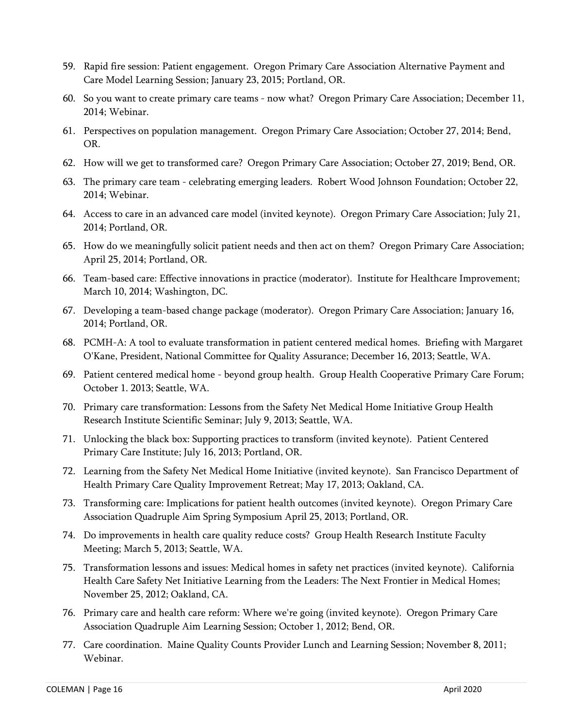- 59. Rapid fire session: Patient engagement. Oregon Primary Care Association Alternative Payment and Care Model Learning Session; January 23, 2015; Portland, OR.
- 60. So you want to create primary care teams now what? Oregon Primary Care Association; December 11, 2014; Webinar.
- 61. Perspectives on population management. Oregon Primary Care Association; October 27, 2014; Bend, OR.
- 62. How will we get to transformed care? Oregon Primary Care Association; October 27, 2019; Bend, OR.
- 63. The primary care team celebrating emerging leaders. Robert Wood Johnson Foundation; October 22, 2014; Webinar.
- 64. Access to care in an advanced care model (invited keynote). Oregon Primary Care Association; July 21, 2014; Portland, OR.
- 65. How do we meaningfully solicit patient needs and then act on them? Oregon Primary Care Association; April 25, 2014; Portland, OR.
- 66. Team-based care: Effective innovations in practice (moderator). Institute for Healthcare Improvement; March 10, 2014; Washington, DC.
- 67. Developing a team-based change package (moderator). Oregon Primary Care Association; January 16, 2014; Portland, OR.
- 68. PCMH-A: A tool to evaluate transformation in patient centered medical homes. Briefing with Margaret O'Kane, President, National Committee for Quality Assurance; December 16, 2013; Seattle, WA.
- 69. Patient centered medical home beyond group health. Group Health Cooperative Primary Care Forum; October 1. 2013; Seattle, WA.
- 70. Primary care transformation: Lessons from the Safety Net Medical Home Initiative Group Health Research Institute Scientific Seminar; July 9, 2013; Seattle, WA.
- 71. Unlocking the black box: Supporting practices to transform (invited keynote). Patient Centered Primary Care Institute; July 16, 2013; Portland, OR.
- 72. Learning from the Safety Net Medical Home Initiative (invited keynote). San Francisco Department of Health Primary Care Quality Improvement Retreat; May 17, 2013; Oakland, CA.
- 73. Transforming care: Implications for patient health outcomes (invited keynote). Oregon Primary Care Association Quadruple Aim Spring Symposium April 25, 2013; Portland, OR.
- 74. Do improvements in health care quality reduce costs? Group Health Research Institute Faculty Meeting; March 5, 2013; Seattle, WA.
- 75. Transformation lessons and issues: Medical homes in safety net practices (invited keynote). California Health Care Safety Net Initiative Learning from the Leaders: The Next Frontier in Medical Homes; November 25, 2012; Oakland, CA.
- 76. Primary care and health care reform: Where we're going (invited keynote). Oregon Primary Care Association Quadruple Aim Learning Session; October 1, 2012; Bend, OR.
- 77. Care coordination. Maine Quality Counts Provider Lunch and Learning Session; November 8, 2011; Webinar.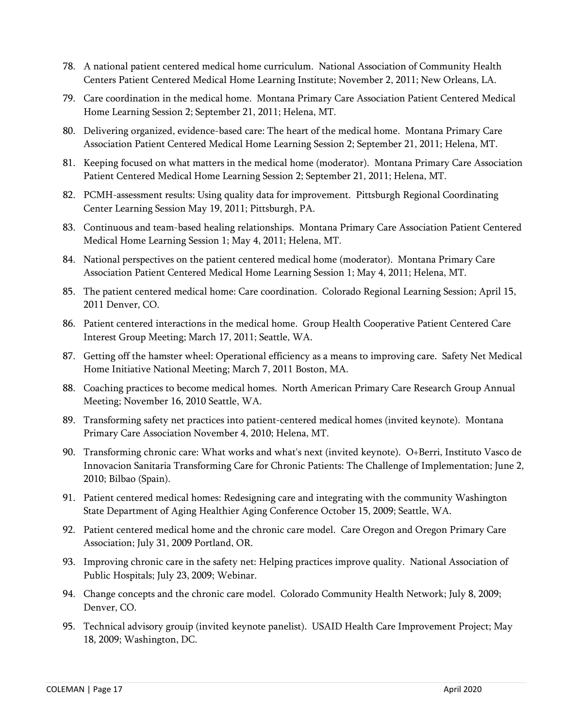- 78. A national patient centered medical home curriculum. National Association of Community Health Centers Patient Centered Medical Home Learning Institute; November 2, 2011; New Orleans, LA.
- 79. Care coordination in the medical home. Montana Primary Care Association Patient Centered Medical Home Learning Session 2; September 21, 2011; Helena, MT.
- 80. Delivering organized, evidence-based care: The heart of the medical home. Montana Primary Care Association Patient Centered Medical Home Learning Session 2; September 21, 2011; Helena, MT.
- 81. Keeping focused on what matters in the medical home (moderator). Montana Primary Care Association Patient Centered Medical Home Learning Session 2; September 21, 2011; Helena, MT.
- 82. PCMH-assessment results: Using quality data for improvement. Pittsburgh Regional Coordinating Center Learning Session May 19, 2011; Pittsburgh, PA.
- 83. Continuous and team-based healing relationships. Montana Primary Care Association Patient Centered Medical Home Learning Session 1; May 4, 2011; Helena, MT.
- 84. National perspectives on the patient centered medical home (moderator). Montana Primary Care Association Patient Centered Medical Home Learning Session 1; May 4, 2011; Helena, MT.
- 85. The patient centered medical home: Care coordination. Colorado Regional Learning Session; April 15, 2011 Denver, CO.
- 86. Patient centered interactions in the medical home. Group Health Cooperative Patient Centered Care Interest Group Meeting; March 17, 2011; Seattle, WA.
- 87. Getting off the hamster wheel: Operational efficiency as a means to improving care. Safety Net Medical Home Initiative National Meeting; March 7, 2011 Boston, MA.
- 88. Coaching practices to become medical homes. North American Primary Care Research Group Annual Meeting; November 16, 2010 Seattle, WA.
- 89. Transforming safety net practices into patient-centered medical homes (invited keynote). Montana Primary Care Association November 4, 2010; Helena, MT.
- 90. Transforming chronic care: What works and what's next (invited keynote). O+Berri, Instituto Vasco de Innovacion Sanitaria Transforming Care for Chronic Patients: The Challenge of Implementation; June 2, 2010; Bilbao (Spain).
- 91. Patient centered medical homes: Redesigning care and integrating with the community Washington State Department of Aging Healthier Aging Conference October 15, 2009; Seattle, WA.
- 92. Patient centered medical home and the chronic care model. Care Oregon and Oregon Primary Care Association; July 31, 2009 Portland, OR.
- 93. Improving chronic care in the safety net: Helping practices improve quality. National Association of Public Hospitals; July 23, 2009; Webinar.
- 94. Change concepts and the chronic care model. Colorado Community Health Network; July 8, 2009; Denver, CO.
- 95. Technical advisory grouip (invited keynote panelist). USAID Health Care Improvement Project; May 18, 2009; Washington, DC.